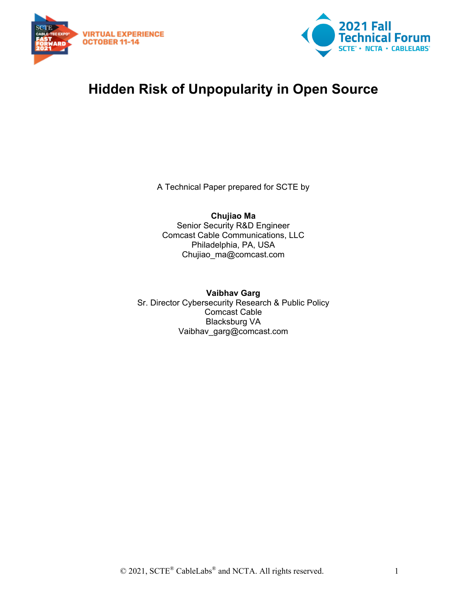



# **Hidden Risk of Unpopularity in Open Source**

A Technical Paper prepared for SCTE by

**Chujiao Ma** Senior Security R&D Engineer Comcast Cable Communications, LLC Philadelphia, PA, USA Chujiao\_ma@comcast.com

**Vaibhav Garg** Sr. Director Cybersecurity Research & Public Policy Comcast Cable Blacksburg VA Vaibhav\_garg@comcast.com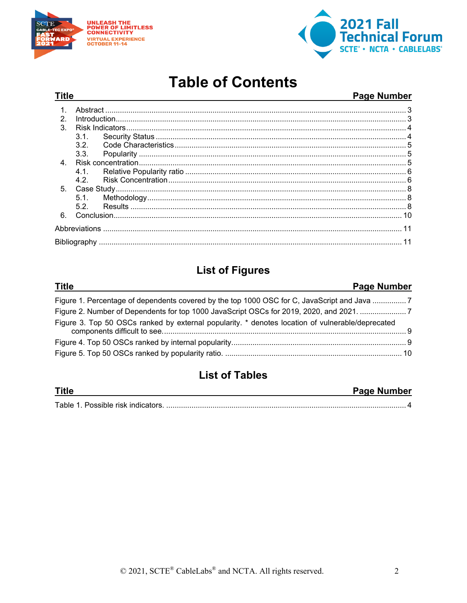

**Title** 

-- - -



# **Table of Contents**

#### **Page Number**

| $\mathcal{P}$  |      |  |  |
|----------------|------|--|--|
| $\mathcal{S}$  |      |  |  |
|                | 3.1  |  |  |
|                | 3.2  |  |  |
|                | 3.3. |  |  |
| $\overline{4}$ |      |  |  |
|                |      |  |  |
|                | 42   |  |  |
| 5 <sub>1</sub> |      |  |  |
|                |      |  |  |
|                | 52   |  |  |
| 6              |      |  |  |
|                |      |  |  |
|                |      |  |  |

## **List of Figures**

#### **Title Page Number** Figure 1. Percentage of dependents covered by the top 1000 OSC for C, JavaScript and Java ................7 Figure 2. Number of Dependents for top 1000 JavaScript OSCs for 2019, 2020, and 2021. ........................7 Figure 3. Top 50 OSCs ranked by external popularity. \* denotes location of vulnerable/deprecated

## **List of Tables**

| <b>Title</b> | Page Number |
|--------------|-------------|
| Table,       |             |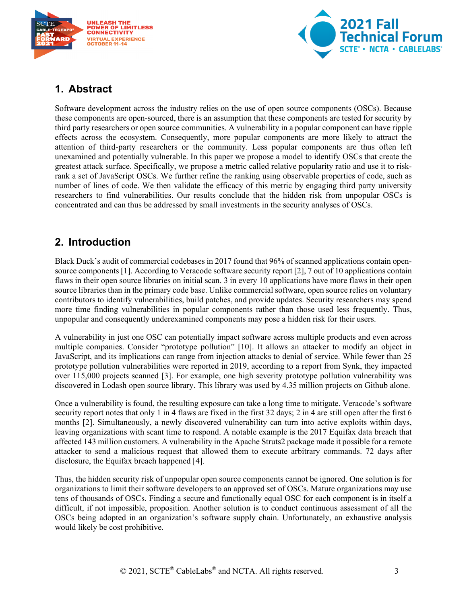



## <span id="page-2-0"></span>**1. Abstract**

Software development across the industry relies on the use of open source components (OSCs). Because these components are open-sourced, there is an assumption that these components are tested for security by third party researchers or open source communities. A vulnerability in a popular component can have ripple effects across the ecosystem. Consequently, more popular components are more likely to attract the attention of third-party researchers or the community. Less popular components are thus often left unexamined and potentially vulnerable. In this paper we propose a model to identify OSCs that create the greatest attack surface. Specifically, we propose a metric called relative popularity ratio and use it to riskrank a set of JavaScript OSCs. We further refine the ranking using observable properties of code, such as number of lines of code. We then validate the efficacy of this metric by engaging third party university researchers to find vulnerabilities. Our results conclude that the hidden risk from unpopular OSCs is concentrated and can thus be addressed by small investments in the security analyses of OSCs.

## <span id="page-2-1"></span>**2. Introduction**

Black Duck's audit of commercial codebases in 2017 found that 96% of scanned applications contain opensource components [1]. According to Veracode software security report [2], 7 out of 10 applications contain flaws in their open source libraries on initial scan. 3 in every 10 applications have more flaws in their open source libraries than in the primary code base. Unlike commercial software, open source relies on voluntary contributors to identify vulnerabilities, build patches, and provide updates. Security researchers may spend more time finding vulnerabilities in popular components rather than those used less frequently. Thus, unpopular and consequently underexamined components may pose a hidden risk for their users.

A vulnerability in just one OSC can potentially impact software across multiple products and even across multiple companies. Consider "prototype pollution" [10]. It allows an attacker to modify an object in JavaScript, and its implications can range from injection attacks to denial of service. While fewer than 25 prototype pollution vulnerabilities were reported in 2019, according to a report from Synk, they impacted over 115,000 projects scanned [3]. For example, one high severity prototype pollution vulnerability was discovered in Lodash open source library. This library was used by 4.35 million projects on Github alone.

Once a vulnerability is found, the resulting exposure can take a long time to mitigate. Veracode's software security report notes that only 1 in 4 flaws are fixed in the first 32 days; 2 in 4 are still open after the first 6 months [2]. Simultaneously, a newly discovered vulnerability can turn into active exploits within days, leaving organizations with scant time to respond. A notable example is the 2017 Equifax data breach that affected 143 million customers. A vulnerability in the Apache Struts2 package made it possible for a remote attacker to send a malicious request that allowed them to execute arbitrary commands. 72 days after disclosure, the Equifax breach happened [4].

Thus, the hidden security risk of unpopular open source components cannot be ignored. One solution is for organizations to limit their software developers to an approved set of OSCs. Mature organizations may use tens of thousands of OSCs. Finding a secure and functionally equal OSC for each component is in itself a difficult, if not impossible, proposition. Another solution is to conduct continuous assessment of all the OSCs being adopted in an organization's software supply chain. Unfortunately, an exhaustive analysis would likely be cost prohibitive.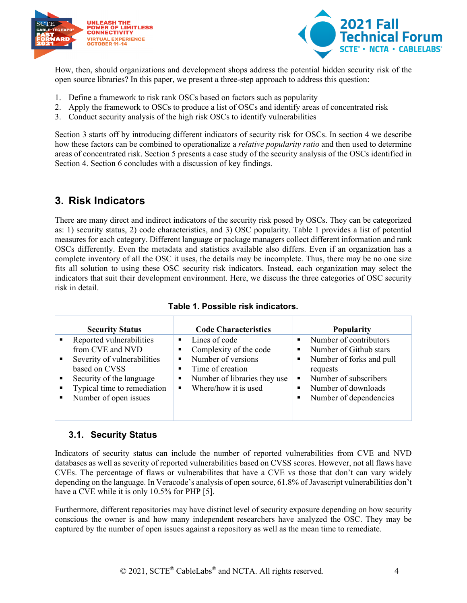



How, then, should organizations and development shops address the potential hidden security risk of the open source libraries? In this paper, we present a three-step approach to address this question:

- 1. Define a framework to risk rank OSCs based on factors such as popularity
- 2. Apply the framework to OSCs to produce a list of OSCs and identify areas of concentrated risk
- 3. Conduct security analysis of the high risk OSCs to identify vulnerabilities

Section 3 starts off by introducing different indicators of security risk for OSCs. In section 4 we describe how these factors can be combined to operationalize a *relative popularity ratio* and then used to determine areas of concentrated risk. Section 5 presents a case study of the security analysis of the OSCs identified in Section 4. Section 6 concludes with a discussion of key findings.

## <span id="page-3-0"></span>**3. Risk Indicators**

There are many direct and indirect indicators of the security risk posed by OSCs. They can be categorized as: 1) security status, 2) code characteristics, and 3) OSC popularity. Table 1 provides a list of potential measures for each category. Different language or package managers collect different information and rank OSCs differently. Even the metadata and statistics available also differs. Even if an organization has a complete inventory of all the OSC it uses, the details may be incomplete. Thus, there may be no one size fits all solution to using these OSC security risk indicators. Instead, each organization may select the indicators that suit their development environment. Here, we discuss the three categories of OSC security risk in detail.

<span id="page-3-2"></span>

| <b>Security Status</b>                                                                                                                                                                                    | <b>Code Characteristics</b>                                                                                                                                                     | <b>Popularity</b>                                                                                                                                                                                                |
|-----------------------------------------------------------------------------------------------------------------------------------------------------------------------------------------------------------|---------------------------------------------------------------------------------------------------------------------------------------------------------------------------------|------------------------------------------------------------------------------------------------------------------------------------------------------------------------------------------------------------------|
| Reported vulnerabilities<br>٠<br>from CVE and NVD<br>Severity of vulnerabilities<br>٠<br>based on CVSS<br>Security of the language<br>٠<br>Typical time to remediation<br>٠<br>Number of open issues<br>٠ | Lines of code<br>٠<br>Complexity of the code<br>Number of versions<br>٠<br>Time of creation<br>■<br>Number of libraries they use<br>٠<br>Where/how it is used<br>$\blacksquare$ | Number of contributors<br>$\blacksquare$<br>Number of Github stars<br>$\blacksquare$<br>Number of forks and pull<br>٠<br>requests<br>Number of subscribers<br>٠<br>Number of downloads<br>Number of dependencies |

#### **Table 1. Possible risk indicators.**

#### <span id="page-3-1"></span>**3.1. Security Status**

Indicators of security status can include the number of reported vulnerabilities from CVE and NVD databases as well as severity of reported vulnerabilities based on CVSS scores. However, not all flaws have CVEs. The percentage of flaws or vulnerabilites that have a CVE vs those that don't can vary widely depending on the language. In Veracode's analysis of open source, 61.8% of Javascript vulnerabilities don't have a CVE while it is only 10.5% for PHP [5].

Furthermore, different repositories may have distinct level of security exposure depending on how security conscious the owner is and how many independent researchers have analyzed the OSC. They may be captured by the number of open issues against a repository as well as the mean time to remediate.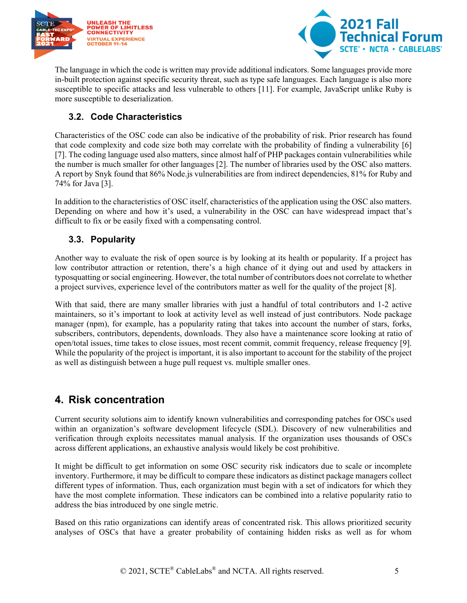



The language in which the code is written may provide additional indicators. Some languages provide more in-built protection against specific security threat, such as type safe languages. Each language is also more susceptible to specific attacks and less vulnerable to others [11]. For example, JavaScript unlike Ruby is more susceptible to deserialization.

### <span id="page-4-0"></span>**3.2. Code Characteristics**

Characteristics of the OSC code can also be indicative of the probability of risk. Prior research has found that code complexity and code size both may correlate with the probability of finding a vulnerability [6] [7]. The coding language used also matters, since almost half of PHP packages contain vulnerabilities while the number is much smaller for other languages [2]. The number of libraries used by the OSC also matters. A report by Snyk found that 86% Node.js vulnerabilities are from indirect dependencies, 81% for Ruby and 74% for Java [3].

In addition to the characteristics of OSC itself, characteristics of the application using the OSC also matters. Depending on where and how it's used, a vulnerability in the OSC can have widespread impact that's difficult to fix or be easily fixed with a compensating control.

### <span id="page-4-1"></span>**3.3. Popularity**

Another way to evaluate the risk of open source is by looking at its health or popularity. If a project has low contributor attraction or retention, there's a high chance of it dying out and used by attackers in typosquatting or social engineering. However, the total number of contributors does not correlate to whether a project survives, experience level of the contributors matter as well for the quality of the project [8].

With that said, there are many smaller libraries with just a handful of total contributors and 1-2 active maintainers, so it's important to look at activity level as well instead of just contributors. Node package manager (npm), for example, has a popularity rating that takes into account the number of stars, forks, subscribers, contributors, dependents, downloads. They also have a maintenance score looking at ratio of open/total issues, time takes to close issues, most recent commit, commit frequency, release frequency [9]. While the popularity of the project is important, it is also important to account for the stability of the project as well as distinguish between a huge pull request vs. multiple smaller ones.

## <span id="page-4-2"></span>**4. Risk concentration**

Current security solutions aim to identify known vulnerabilities and corresponding patches for OSCs used within an organization's software development lifecycle (SDL). Discovery of new vulnerabilities and verification through exploits necessitates manual analysis. If the organization uses thousands of OSCs across different applications, an exhaustive analysis would likely be cost prohibitive.

It might be difficult to get information on some OSC security risk indicators due to scale or incomplete inventory. Furthermore, it may be difficult to compare these indicators as distinct package managers collect different types of information. Thus, each organization must begin with a set of indicators for which they have the most complete information. These indicators can be combined into a relative popularity ratio to address the bias introduced by one single metric.

Based on this ratio organizations can identify areas of concentrated risk. This allows prioritized security analyses of OSCs that have a greater probability of containing hidden risks as well as for whom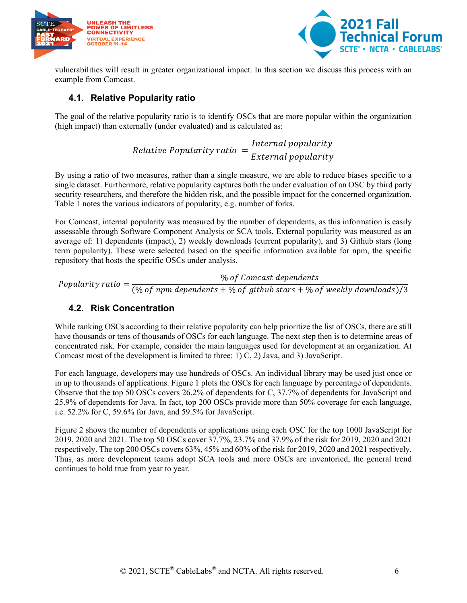



vulnerabilities will result in greater organizational impact. In this section we discuss this process with an example from Comcast.

#### <span id="page-5-0"></span>**4.1. Relative Popularity ratio**

The goal of the relative popularity ratio is to identify OSCs that are more popular within the organization (high impact) than externally (under evaluated) and is calculated as:

> Relative Popularity ratio  $=\frac{Intern}{Ertern}$  $E\chi$

By using a ratio of two measures, rather than a single measure, we are able to reduce biases specific to a single dataset. Furthermore, relative popularity captures both the under evaluation of an OSC by third party security researchers, and therefore the hidden risk, and the possible impact for the concerned organization. Table 1 notes the various indicators of popularity, e.g. number of forks.

For Comcast, internal popularity was measured by the number of dependents, as this information is easily assessable through Software Component Analysis or SCA tools. External popularity was measured as an average of: 1) dependents (impact), 2) weekly downloads (current popularity), and 3) Github stars (long term popularity). These were selected based on the specific information available for npm, the specific repository that hosts the specific OSCs under analysis.

Popularity ratio  $=\frac{960f}{(960f)2}$  of Comcast dependents<br>(9) Popularity ratio  $=\frac{1}{(960f)2}$  (9) Popularity ratio  $=\frac{1}{(960f)2}$ 

### <span id="page-5-1"></span>**4.2. Risk Concentration**

While ranking OSCs according to their relative popularity can help prioritize the list of OSCs, there are still have thousands or tens of thousands of OSCs for each language. The next step then is to determine areas of concentrated risk. For example, consider the main languages used for development at an organization. At Comcast most of the development is limited to three: 1) C, 2) Java, and 3) JavaScript.

For each language, developers may use hundreds of OSCs. An individual library may be used just once or in up to thousands of applications. Figure 1 plots the OSCs for each language by percentage of dependents. Observe that the top 50 OSCs covers 26.2% of dependents for C, 37.7% of dependents for JavaScript and 25.9% of dependents for Java. In fact, top 200 OSCs provide more than 50% coverage for each language, i.e. 52.2% for C, 59.6% for Java, and 59.5% for JavaScript.

Figure 2 shows the number of dependents or applications using each OSC for the top 1000 JavaScript for 2019, 2020 and 2021. The top 50 OSCs cover 37.7%, 23.7% and 37.9% of the risk for 2019, 2020 and 2021 respectively. The top 200 OSCs covers 63%, 45% and 60% of the risk for 2019, 2020 and 2021 respectively. Thus, as more development teams adopt SCA tools and more OSCs are inventoried, the general trend continues to hold true from year to year.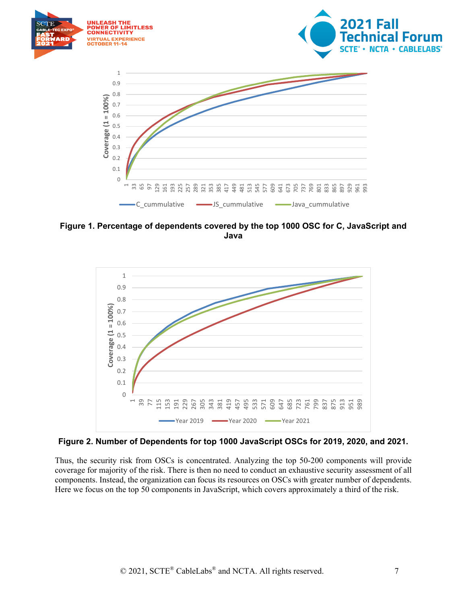

<span id="page-6-0"></span>**Figure 1. Percentage of dependents covered by the top 1000 OSC for C, JavaScript and Java**



<span id="page-6-1"></span>**Figure 2. Number of Dependents for top 1000 JavaScript OSCs for 2019, 2020, and 2021.**

Thus, the security risk from OSCs is concentrated. Analyzing the top 50-200 components will provide coverage for majority of the risk. There is then no need to conduct an exhaustive security assessment of all components. Instead, the organization can focus its resources on OSCs with greater number of dependents. Here we focus on the top 50 components in JavaScript, which covers approximately a third of the risk.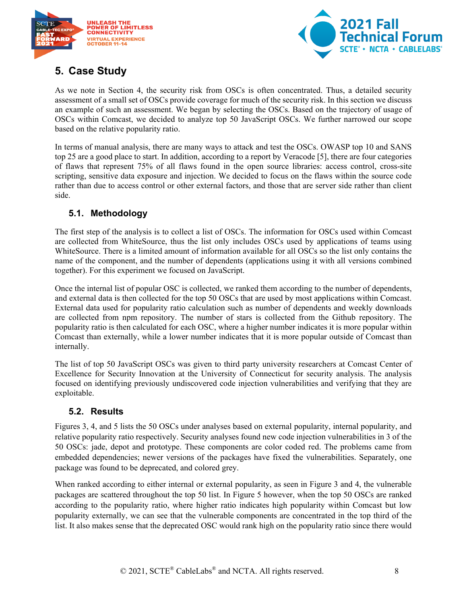



## <span id="page-7-0"></span>**5. Case Study**

As we note in Section 4, the security risk from OSCs is often concentrated. Thus, a detailed security assessment of a small set of OSCs provide coverage for much of the security risk. In this section we discuss an example of such an assessment. We began by selecting the OSCs. Based on the trajectory of usage of OSCs within Comcast, we decided to analyze top 50 JavaScript OSCs. We further narrowed our scope based on the relative popularity ratio.

In terms of manual analysis, there are many ways to attack and test the OSCs. OWASP top 10 and SANS top 25 are a good place to start. In addition, according to a report by Veracode [5], there are four categories of flaws that represent 75% of all flaws found in the open source libraries: access control, cross-site scripting, sensitive data exposure and injection. We decided to focus on the flaws within the source code rather than due to access control or other external factors, and those that are server side rather than client side.

### <span id="page-7-1"></span>**5.1. Methodology**

The first step of the analysis is to collect a list of OSCs. The information for OSCs used within Comcast are collected from WhiteSource, thus the list only includes OSCs used by applications of teams using WhiteSource. There is a limited amount of information available for all OSCs so the list only contains the name of the component, and the number of dependents (applications using it with all versions combined together). For this experiment we focused on JavaScript.

Once the internal list of popular OSC is collected, we ranked them according to the number of dependents, and external data is then collected for the top 50 OSCs that are used by most applications within Comcast. External data used for popularity ratio calculation such as number of dependents and weekly downloads are collected from npm repository. The number of stars is collected from the Github repository. The popularity ratio is then calculated for each OSC, where a higher number indicates it is more popular within Comcast than externally, while a lower number indicates that it is more popular outside of Comcast than internally.

The list of top 50 JavaScript OSCs was given to third party university researchers at Comcast Center of Excellence for Security Innovation at the University of Connecticut for security analysis. The analysis focused on identifying previously undiscovered code injection vulnerabilities and verifying that they are exploitable.

### <span id="page-7-2"></span>**5.2. Results**

Figures 3, 4, and 5 lists the 50 OSCs under analyses based on external popularity, internal popularity, and relative popularity ratio respectively. Security analyses found new code injection vulnerabilities in 3 of the 50 OSCs: jade, depot and prototype. These components are color coded red. The problems came from embedded dependencies; newer versions of the packages have fixed the vulnerabilities. Separately, one package was found to be deprecated, and colored grey.

When ranked according to either internal or external popularity, as seen in Figure 3 and 4, the vulnerable packages are scattered throughout the top 50 list. In Figure 5 however, when the top 50 OSCs are ranked according to the popularity ratio, where higher ratio indicates high popularity within Comcast but low popularity externally, we can see that the vulnerable components are concentrated in the top third of the list. It also makes sense that the deprecated OSC would rank high on the popularity ratio since there would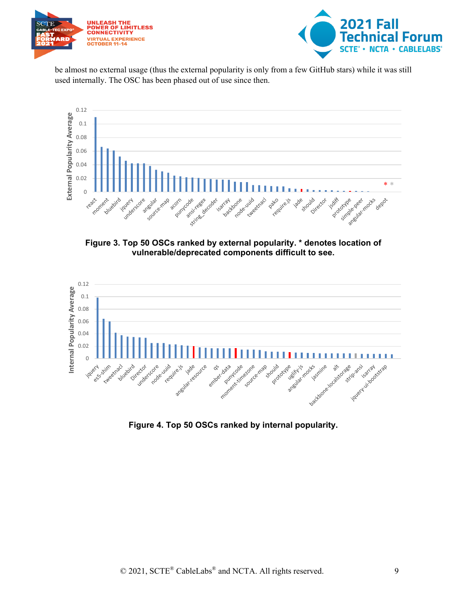



be almost no external usage (thus the external popularity is only from a few GitHub stars) while it was still used internally. The OSC has been phased out of use since then.



<span id="page-8-0"></span>**Figure 3. Top 50 OSCs ranked by external popularity. \* denotes location of vulnerable/deprecated components difficult to see.**



<span id="page-8-1"></span>**Figure 4. Top 50 OSCs ranked by internal popularity.**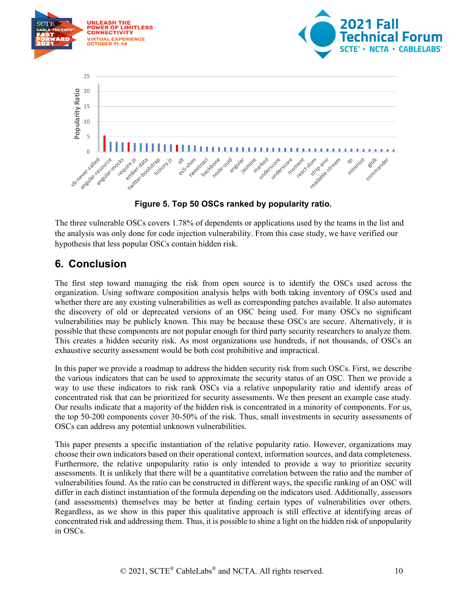

**Figure 5. Top 50 OSCs ranked by popularity ratio.**

<span id="page-9-1"></span>The three vulnerable OSCs covers 1.78% of dependents or applications used by the teams in the list and the analysis was only done for code injection vulnerability. From this case study, we have verified our hypothesis that less popular OSCs contain hidden risk.

## <span id="page-9-0"></span>**6. Conclusion**

The first step toward managing the risk from open source is to identify the OSCs used across the organization. Using software composition analysis helps with both taking inventory of OSCs used and whether there are any existing vulnerabilities as well as corresponding patches available. It also automates the discovery of old or deprecated versions of an OSC being used. For many OSCs no significant vulnerabilities may be publicly known. This may be because these OSCs are secure. Alternatively, it is possible that these components are not popular enough for third party security researchers to analyze them. This creates a hidden security risk. As most organizations use hundreds, if not thousands, of OSCs an exhaustive security assessment would be both cost prohibitive and impractical.

In this paper we provide a roadmap to address the hidden security risk from such OSCs. First, we describe the various indicators that can be used to approximate the security status of an OSC. Then we provide a way to use these indicators to risk rank OSCs via a relative unpopularity ratio and identify areas of concentrated risk that can be prioritized for security assessments. We then present an example case study. Our results indicate that a majority of the hidden risk is concentrated in a minority of components. For us, the top 50-200 components cover 30-50% of the risk. Thus, small investments in security assessments of OSCs can address any potential unknown vulnerabilities.

This paper presents a specific instantiation of the relative popularity ratio. However, organizations may choose their own indicators based on their operational context, information sources, and data completeness. Furthermore, the relative unpopularity ratio is only intended to provide a way to prioritize security assessments. It is unlikely that there will be a quantitative correlation between the ratio and the number of vulnerabilities found. As the ratio can be constructed in different ways, the specific ranking of an OSC will differ in each distinct instantiation of the formula depending on the indicators used. Additionally, assessors (and assessments) themselves may be better at finding certain types of vulnerabilities over others. Regardless, as we show in this paper this qualitative approach is still effective at identifying areas of concentrated risk and addressing them. Thus, it is possible to shine a light on the hidden risk of unpopularity in OSCs.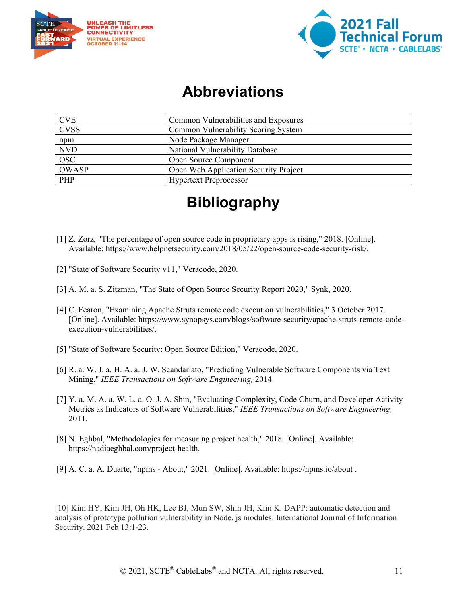



## **Abbreviations**

<span id="page-10-0"></span>

| <b>CVE</b>                | Common Vulnerabilities and Exposures  |
|---------------------------|---------------------------------------|
| <b>CVSS</b>               | Common Vulnerability Scoring System   |
| npm                       | Node Package Manager                  |
| <b>NVD</b>                | National Vulnerability Database       |
| $\overline{\mathrm{OSC}}$ | Open Source Component                 |
| OWASP                     | Open Web Application Security Project |
| PHP                       | <b>Hypertext Preprocessor</b>         |

# **Bibliography**

- <span id="page-10-1"></span>[1] Z. Zorz, "The percentage of open source code in proprietary apps is rising," 2018. [Online]. Available: https://www.helpnetsecurity.com/2018/05/22/open-source-code-security-risk/.
- [2] "State of Software Security v11," Veracode, 2020.
- [3] A. M. a. S. Zitzman, "The State of Open Source Security Report 2020," Synk, 2020.
- [4] C. Fearon, "Examining Apache Struts remote code execution vulnerabilities," 3 October 2017. [Online]. Available: https://www.synopsys.com/blogs/software-security/apache-struts-remote-codeexecution-vulnerabilities/.
- [5] "State of Software Security: Open Source Edition," Veracode, 2020.
- [6] R. a. W. J. a. H. A. a. J. W. Scandariato, "Predicting Vulnerable Software Components via Text Mining," *IEEE Transactions on Software Engineering,* 2014.
- [7] Y. a. M. A. a. W. L. a. O. J. A. Shin, "Evaluating Complexity, Code Churn, and Developer Activity Metrics as Indicators of Software Vulnerabilities," *IEEE Transactions on Software Engineering,*  2011.
- [8] N. Eghbal, "Methodologies for measuring project health," 2018. [Online]. Available: https://nadiaeghbal.com/project-health.
- [9] A. C. a. A. Duarte, "npms About," 2021. [Online]. Available: https://npms.io/about .

[10] Kim HY, Kim JH, Oh HK, Lee BJ, Mun SW, Shin JH, Kim K. DAPP: automatic detection and analysis of prototype pollution vulnerability in Node. js modules. International Journal of Information Security. 2021 Feb 13:1-23.